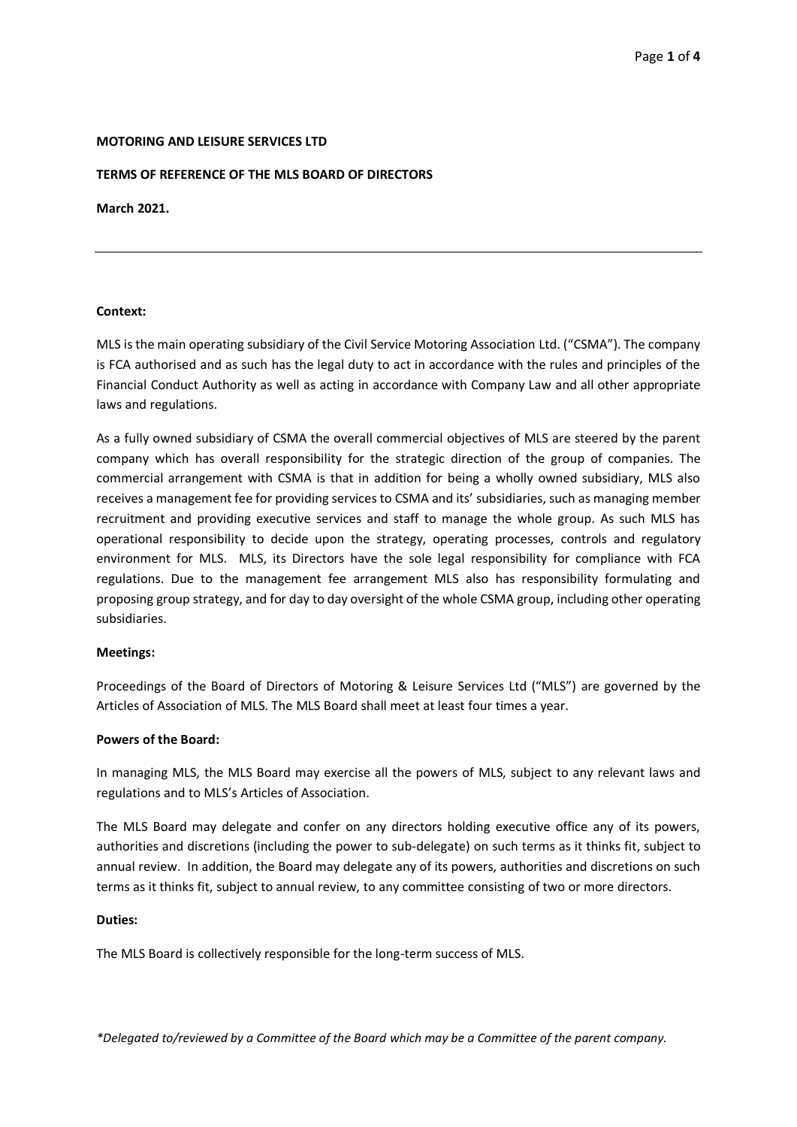### **MOTORING AND LEISURE SERVICES LTD**

### **TERMS OF REFERENCE OF THE MLS BOARD OF DIRECTORS**

**March 2021.** 

### **Context:**

MLS is the main operating subsidiary of the Civil Service Motoring Association Ltd. ("CSMA"). The company is FCA authorised and as such has the legal duty to act in accordance with the rules and principles of the Financial Conduct Authority as well as acting in accordance with Company Law and all other appropriate laws and regulations.

As a fully owned subsidiary of CSMA the overall commercial objectives of MLS are steered by the parent company which has overall responsibility for the strategic direction of the group of companies. The commercial arrangement with CSMA is that in addition for being a wholly owned subsidiary, MLS also receives a management fee for providing services to CSMA and its' subsidiaries, such as managing member recruitment and providing executive services and staff to manage the whole group. As such MLS has operational responsibility to decide upon the strategy, operating processes, controls and regulatory environment for MLS. MLS, its Directors have the sole legal responsibility for compliance with FCA regulations. Due to the management fee arrangement MLS also has responsibility formulating and proposing group strategy, and for day to day oversight of the whole CSMA group, including other operating subsidiaries.

#### **Meetings:**

Proceedings of the Board of Directors of Motoring & Leisure Services Ltd ("MLS") are governed by the Articles of Association of MLS. The MLS Board shall meet at least four times a year.

### **Powers of the Board:**

In managing MLS, the MLS Board may exercise all the powers of MLS, subject to any relevant laws and regulations and to MLS's Articles of Association.

The MLS Board may delegate and confer on any directors holding executive office any of its powers, authorities and discretions (including the power to sub-delegate) on such terms as it thinks fit, subject to annual review. In addition, the Board may delegate any of its powers, authorities and discretions on such terms as it thinks fit, subject to annual review, to any committee consisting of two or more directors.

#### **Duties:**

The MLS Board is collectively responsible for the long-term success of MLS.

*\*Delegated to/reviewed by a Committee of the Board which may be a Committee of the parent company.*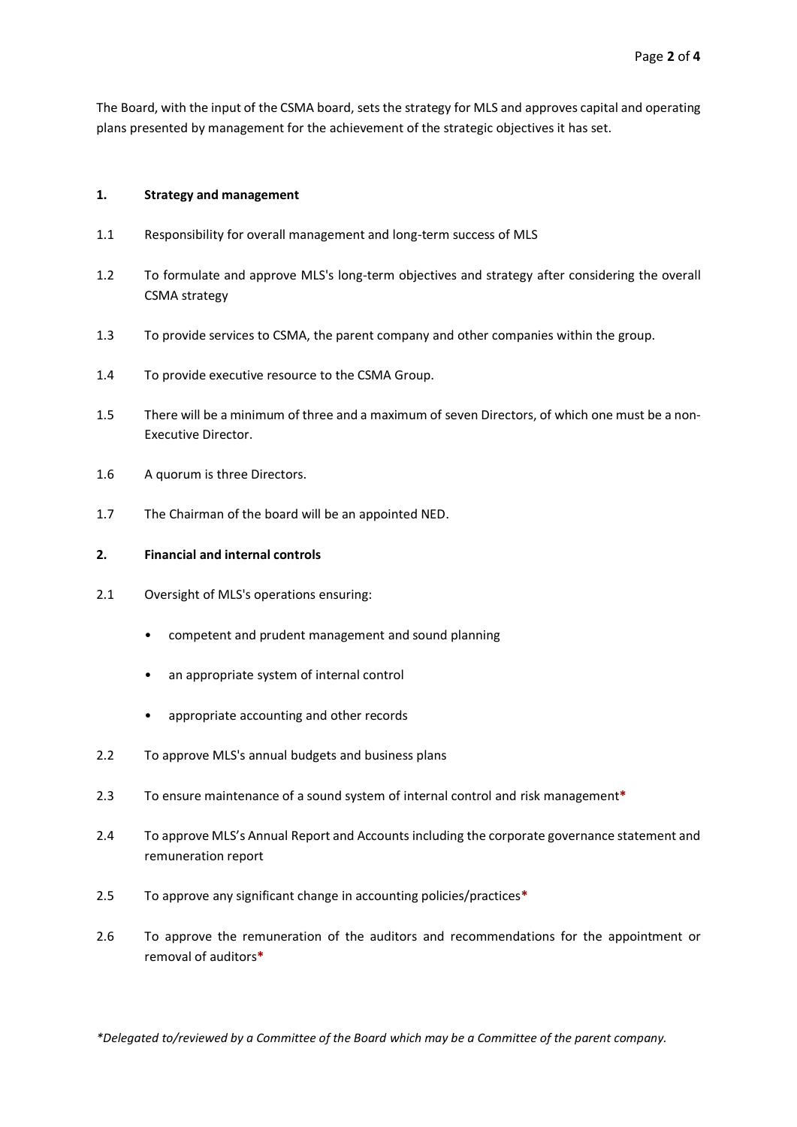The Board, with the input of the CSMA board, sets the strategy for MLS and approves capital and operating plans presented by management for the achievement of the strategic objectives it has set.

## **1. Strategy and management**

- 1.1 Responsibility for overall management and long-term success of MLS
- 1.2 To formulate and approve MLS's long-term objectives and strategy after considering the overall CSMA strategy
- 1.3 To provide services to CSMA, the parent company and other companies within the group.
- 1.4 To provide executive resource to the CSMA Group.
- 1.5 There will be a minimum of three and a maximum of seven Directors, of which one must be a non-Executive Director.
- 1.6 A quorum is three Directors.
- 1.7 The Chairman of the board will be an appointed NED.

## **2. Financial and internal controls**

- 2.1 Oversight of MLS's operations ensuring:
	- competent and prudent management and sound planning
	- an appropriate system of internal control
	- appropriate accounting and other records
- 2.2 To approve MLS's annual budgets and business plans
- 2.3 To ensure maintenance of a sound system of internal control and risk management**\***
- 2.4 To approve MLS's Annual Report and Accounts including the corporate governance statement and remuneration report
- 2.5 To approve any significant change in accounting policies/practices**\***
- 2.6 To approve the remuneration of the auditors and recommendations for the appointment or removal of auditors**\***

*\*Delegated to/reviewed by a Committee of the Board which may be a Committee of the parent company.*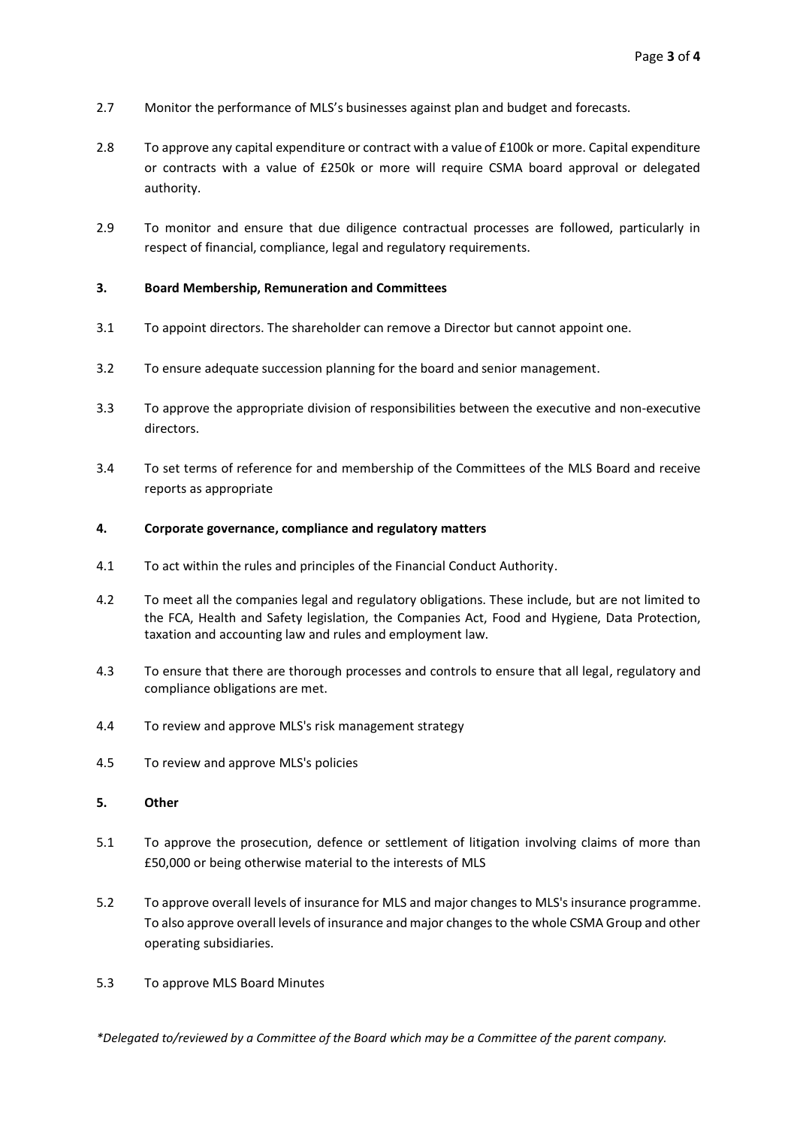- 2.7 Monitor the performance of MLS's businesses against plan and budget and forecasts.
- 2.8 To approve any capital expenditure or contract with a value of £100k or more. Capital expenditure or contracts with a value of £250k or more will require CSMA board approval or delegated authority.
- 2.9 To monitor and ensure that due diligence contractual processes are followed, particularly in respect of financial, compliance, legal and regulatory requirements.

# **3. Board Membership, Remuneration and Committees**

- 3.1 To appoint directors. The shareholder can remove a Director but cannot appoint one.
- 3.2 To ensure adequate succession planning for the board and senior management.
- 3.3 To approve the appropriate division of responsibilities between the executive and non-executive directors.
- 3.4 To set terms of reference for and membership of the Committees of the MLS Board and receive reports as appropriate

### **4. Corporate governance, compliance and regulatory matters**

- 4.1 To act within the rules and principles of the Financial Conduct Authority.
- 4.2 To meet all the companies legal and regulatory obligations. These include, but are not limited to the FCA, Health and Safety legislation, the Companies Act, Food and Hygiene, Data Protection, taxation and accounting law and rules and employment law.
- 4.3 To ensure that there are thorough processes and controls to ensure that all legal, regulatory and compliance obligations are met.
- 4.4 To review and approve MLS's risk management strategy
- 4.5 To review and approve MLS's policies

# **5. Other**

- 5.1 To approve the prosecution, defence or settlement of litigation involving claims of more than £50,000 or being otherwise material to the interests of MLS
- 5.2 To approve overall levels of insurance for MLS and major changes to MLS's insurance programme. To also approve overall levels of insurance and major changes to the whole CSMA Group and other operating subsidiaries.
- 5.3 To approve MLS Board Minutes

*\*Delegated to/reviewed by a Committee of the Board which may be a Committee of the parent company.*